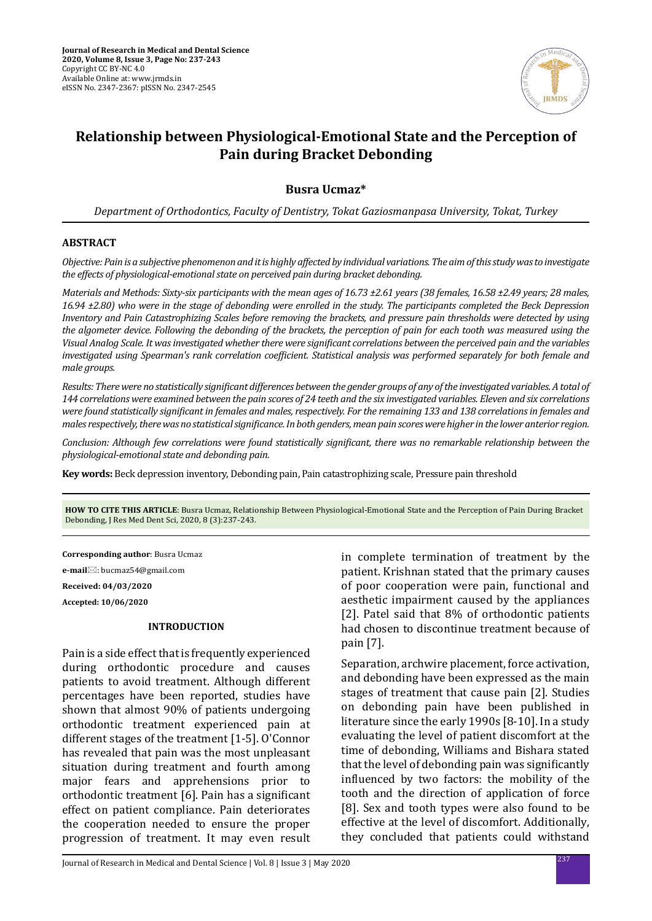

# **Relationship between Physiological-Emotional State and the Perception of Pain during Bracket Debonding**

**Busra Ucmaz\***

*Department of Orthodontics, Faculty of Dentistry, Tokat Gaziosmanpasa University, Tokat, Turkey* 

## **ABSTRACT**

*Objective: Pain is a subjective phenomenon and it is highly affected by individual variations. The aim of this study was to investigate the effects of physiological-emotional state on perceived pain during bracket debonding.*

*Materials and Methods: Sixty-six participants with the mean ages of 16.73 ±2.61 years (38 females, 16.58 ±2.49 years; 28 males, 16.94 ±2.80) who were in the stage of debonding were enrolled in the study. The participants completed the Beck Depression Inventory and Pain Catastrophizing Scales before removing the brackets, and pressure pain thresholds were detected by using the algometer device. Following the debonding of the brackets, the perception of pain for each tooth was measured using the Visual Analog Scale. It was investigated whether there were significant correlations between the perceived pain and the variables investigated using Spearman's rank correlation coefficient. Statistical analysis was performed separately for both female and male groups.*

*Results: There were no statistically significant differences between the gender groups of any of the investigated variables. A total of 144 correlations were examined between the pain scores of 24 teeth and the six investigated variables. Eleven and six correlations were found statistically significant in females and males, respectively. For the remaining 133 and 138 correlations in females and males respectively, there was no statistical significance. In both genders, mean pain scores were higher in the lower anterior region.*

*Conclusion: Although few correlations were found statistically significant, there was no remarkable relationship between the physiological-emotional state and debonding pain.*

**Key words:** Beck depression inventory, Debonding pain, Pain catastrophizing scale, Pressure pain threshold

**HOW TO CITE THIS ARTICLE**: Busra Ucmaz, Relationship Between Physiological-Emotional State and the Perception of Pain During Bracket Debonding, J Res Med Dent Sci, 2020, 8 (3):237-243.

**Corresponding author**: Busra Ucmaz **e-mail**: bucmaz54@gmail.com **Received: 04/03/2020**

**Accepted: 10/06/2020**

#### **INTRODUCTION**

Pain is a side effect that is frequently experienced during orthodontic procedure and causes patients to avoid treatment. Although different percentages have been reported, studies have shown that almost 90% of patients undergoing orthodontic treatment experienced pain at different stages of the treatment [1-5]. O'Connor has revealed that pain was the most unpleasant situation during treatment and fourth among major fears and apprehensions prior to orthodontic treatment [6]. Pain has a significant effect on patient compliance. Pain deteriorates the cooperation needed to ensure the proper progression of treatment. It may even result in complete termination of treatment by the patient. Krishnan stated that the primary causes of poor cooperation were pain, functional and aesthetic impairment caused by the appliances [2]. Patel said that 8% of orthodontic patients had chosen to discontinue treatment because of pain [7].

Separation, archwire placement, force activation, and debonding have been expressed as the main stages of treatment that cause pain [2]. Studies on debonding pain have been published in literature since the early 1990s [8-10]. In a study evaluating the level of patient discomfort at the time of debonding, Williams and Bishara stated that the level of debonding pain was significantly influenced by two factors: the mobility of the tooth and the direction of application of force [8]. Sex and tooth types were also found to be effective at the level of discomfort. Additionally, they concluded that patients could withstand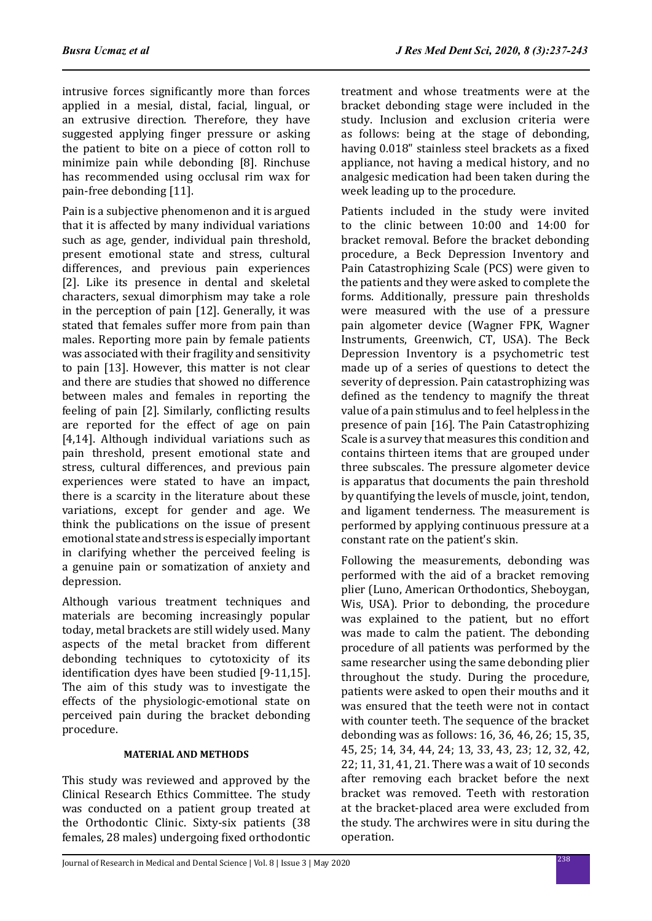intrusive forces significantly more than forces applied in a mesial, distal, facial, lingual, or an extrusive direction. Therefore, they have suggested applying finger pressure or asking the patient to bite on a piece of cotton roll to minimize pain while debonding [8]. Rinchuse has recommended using occlusal rim wax for pain-free debonding [11].

Pain is a subjective phenomenon and it is argued that it is affected by many individual variations such as age, gender, individual pain threshold, present emotional state and stress, cultural differences, and previous pain experiences [2]. Like its presence in dental and skeletal characters, sexual dimorphism may take a role in the perception of pain [12]. Generally, it was stated that females suffer more from pain than males. Reporting more pain by female patients was associated with their fragility and sensitivity to pain [13]. However, this matter is not clear and there are studies that showed no difference between males and females in reporting the feeling of pain [2]. Similarly, conflicting results are reported for the effect of age on pain [4,14]. Although individual variations such as pain threshold, present emotional state and stress, cultural differences, and previous pain experiences were stated to have an impact, there is a scarcity in the literature about these variations, except for gender and age. We think the publications on the issue of present emotional state and stress is especially important in clarifying whether the perceived feeling is a genuine pain or somatization of anxiety and depression.

Although various treatment techniques and materials are becoming increasingly popular today, metal brackets are still widely used. Many aspects of the metal bracket from different debonding techniques to cytotoxicity of its identification dyes have been studied [9-11,15]. The aim of this study was to investigate the effects of the physiologic-emotional state on perceived pain during the bracket debonding procedure.

# **MATERIAL AND METHODS**

This study was reviewed and approved by the Clinical Research Ethics Committee. The study was conducted on a patient group treated at the Orthodontic Clinic. Sixty-six patients (38 females, 28 males) undergoing fixed orthodontic treatment and whose treatments were at the bracket debonding stage were included in the study. Inclusion and exclusion criteria were as follows: being at the stage of debonding, having 0.018" stainless steel brackets as a fixed appliance, not having a medical history, and no analgesic medication had been taken during the week leading up to the procedure.

Patients included in the study were invited to the clinic between 10:00 and 14:00 for bracket removal. Before the bracket debonding procedure, a Beck Depression Inventory and Pain Catastrophizing Scale (PCS) were given to the patients and they were asked to complete the forms. Additionally, pressure pain thresholds were measured with the use of a pressure pain algometer device (Wagner FPK, Wagner Instruments, Greenwich, CT, USA). The Beck Depression Inventory is a psychometric test made up of a series of questions to detect the severity of depression. Pain catastrophizing was defined as the tendency to magnify the threat value of a pain stimulus and to feel helpless in the presence of pain [16]. The Pain Catastrophizing Scale is a survey that measures this condition and contains thirteen items that are grouped under three subscales. The pressure algometer device is apparatus that documents the pain threshold by quantifying the levels of muscle, joint, tendon, and ligament tenderness. The measurement is performed by applying continuous pressure at a constant rate on the patient's skin.

Following the measurements, debonding was performed with the aid of a bracket removing plier (Luno, American Orthodontics, Sheboygan, Wis, USA). Prior to debonding, the procedure was explained to the patient, but no effort was made to calm the patient. The debonding procedure of all patients was performed by the same researcher using the same debonding plier throughout the study. During the procedure, patients were asked to open their mouths and it was ensured that the teeth were not in contact with counter teeth. The sequence of the bracket debonding was as follows: 16, 36, 46, 26; 15, 35, 45, 25; 14, 34, 44, 24; 13, 33, 43, 23; 12, 32, 42, 22; 11, 31, 41, 21. There was a wait of 10 seconds after removing each bracket before the next bracket was removed. Teeth with restoration at the bracket-placed area were excluded from the study. The archwires were in situ during the operation.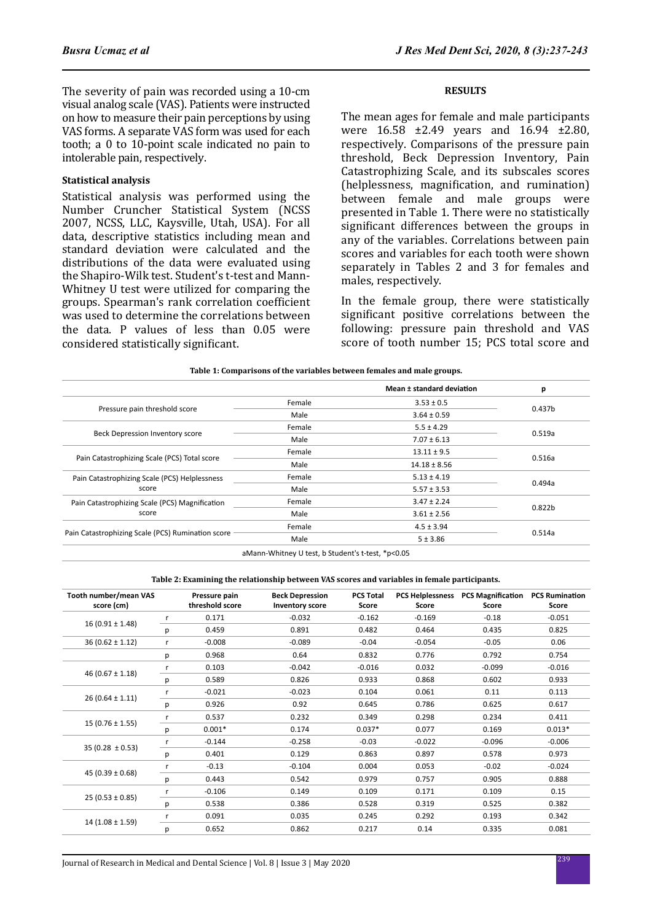The severity of pain was recorded using a 10-cm visual analog scale (VAS). Patients were instructed on how to measure their pain perceptions by using VAS forms. A separate VAS form was used for each tooth; a 0 to 10-point scale indicated no pain to intolerable pain, respectively.

#### **Statistical analysis**

Statistical analysis was performed using the Number Cruncher Statistical System (NCSS 2007, NCSS, LLC, Kaysville, Utah, USA). For all data, descriptive statistics including mean and standard deviation were calculated and the distributions of the data were evaluated using the Shapiro-Wilk test. Student's t-test and Mann-Whitney U test were utilized for comparing the groups. Spearman's rank correlation coefficient was used to determine the correlations between the data. P values of less than 0.05 were considered statistically significant.

## **RESULTS**

The mean ages for female and male participants were 16.58 ±2.49 years and 16.94 ±2.80, respectively. Comparisons of the pressure pain threshold, Beck Depression Inventory, Pain Catastrophizing Scale, and its subscales scores (helplessness, magnification, and rumination) between female and male groups were presented in Table 1. There were no statistically significant differences between the groups in any of the variables. Correlations between pain scores and variables for each tooth were shown separately in Tables 2 and 3 for females and males, respectively.

In the female group, there were statistically significant positive correlations between the following: pressure pain threshold and VAS score of tooth number 15; PCS total score and

|                                                   |                           | Mean ± standard deviation | p                  |  |
|---------------------------------------------------|---------------------------|---------------------------|--------------------|--|
| Pressure pain threshold score                     | Female                    | $3.53 \pm 0.5$            | 0.437b             |  |
|                                                   | Male                      | $3.64 \pm 0.59$           |                    |  |
|                                                   | Female                    | $5.5 \pm 4.29$            |                    |  |
| Beck Depression Inventory score                   | Male                      | $7.07 \pm 6.13$           | 0.519a             |  |
|                                                   | Female<br>$13.11 \pm 9.5$ |                           | 0.516a             |  |
| Pain Catastrophizing Scale (PCS) Total score      | Male                      | $14.18 \pm 8.56$          |                    |  |
| Pain Catastrophizing Scale (PCS) Helplessness     | Female                    | $5.13 \pm 4.19$           | 0.494a             |  |
| score                                             | Male                      | $5.57 \pm 3.53$           |                    |  |
| Pain Catastrophizing Scale (PCS) Magnification    | Female                    | $3.47 \pm 2.24$           |                    |  |
| score                                             | Male                      | $3.61 \pm 2.56$           | 0.822 <sub>b</sub> |  |
|                                                   | Female<br>$4.5 \pm 3.94$  |                           | 0.514a             |  |
| Pain Catastrophizing Scale (PCS) Rumination score | Male                      | 5 ± 3.86                  |                    |  |

#### **Table 1: Comparisons of the variables between females and male groups.**

**Table 2: Examining the relationship between VAS scores and variables in female participants.**

| Tooth number/mean VAS<br>score (cm) |   | Pressure pain<br>threshold score | <b>Beck Depression</b><br><b>Inventory score</b> | <b>PCS Total</b><br>Score | Score    | <b>PCS Helplessness PCS Magnification</b><br>Score | <b>PCS Rumination</b><br>Score |
|-------------------------------------|---|----------------------------------|--------------------------------------------------|---------------------------|----------|----------------------------------------------------|--------------------------------|
| $16(0.91 \pm 1.48)$                 | r | 0.171                            | $-0.032$                                         | $-0.162$                  | $-0.169$ | $-0.18$                                            | $-0.051$                       |
|                                     | р | 0.459                            | 0.891                                            | 0.482                     | 0.464    | 0.435                                              | 0.825                          |
| $36(0.62 \pm 1.12)$                 | r | $-0.008$                         | $-0.089$                                         | $-0.04$                   | $-0.054$ | $-0.05$                                            | 0.06                           |
|                                     | р | 0.968                            | 0.64                                             | 0.832                     | 0.776    | 0.792                                              | 0.754                          |
|                                     | r | 0.103                            | $-0.042$                                         | $-0.016$                  | 0.032    | $-0.099$                                           | $-0.016$                       |
| 46 ( $0.67 \pm 1.18$ )              | р | 0.589                            | 0.826                                            | 0.933                     | 0.868    | 0.602                                              | 0.933                          |
| $26(0.64 \pm 1.11)$                 | r | $-0.021$                         | $-0.023$                                         | 0.104                     | 0.061    | 0.11                                               | 0.113                          |
|                                     | р | 0.926                            | 0.92                                             | 0.645                     | 0.786    | 0.625                                              | 0.617                          |
|                                     | r | 0.537                            | 0.232                                            | 0.349                     | 0.298    | 0.234                                              | 0.411                          |
| $15(0.76 \pm 1.55)$                 | р | $0.001*$                         | 0.174                                            | $0.037*$                  | 0.077    | 0.169                                              | $0.013*$                       |
| $35(0.28 \pm 0.53)$                 |   | $-0.144$                         | $-0.258$                                         | $-0.03$                   | $-0.022$ | $-0.096$                                           | $-0.006$                       |
|                                     | р | 0.401                            | 0.129                                            | 0.863                     | 0.897    | 0.578                                              | 0.973                          |
| 45 (0.39 $\pm$ 0.68)                | r | $-0.13$                          | $-0.104$                                         | 0.004                     | 0.053    | $-0.02$                                            | $-0.024$                       |
|                                     | р | 0.443                            | 0.542                                            | 0.979                     | 0.757    | 0.905                                              | 0.888                          |
| $25(0.53 \pm 0.85)$                 | r | $-0.106$                         | 0.149                                            | 0.109                     | 0.171    | 0.109                                              | 0.15                           |
|                                     | р | 0.538                            | 0.386                                            | 0.528                     | 0.319    | 0.525                                              | 0.382                          |
|                                     |   | 0.091                            | 0.035                                            | 0.245                     | 0.292    | 0.193                                              | 0.342                          |
| $14(1.08 \pm 1.59)$                 | р | 0.652                            | 0.862                                            | 0.217                     | 0.14     | 0.335                                              | 0.081                          |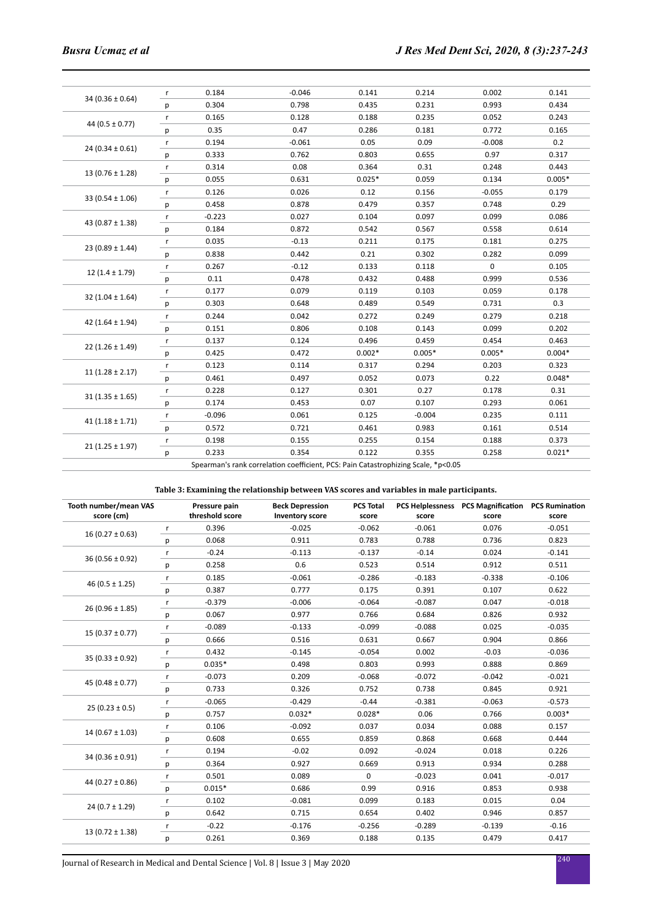|                       | r            | 0.184    | $-0.046$                                                                          | 0.141    | 0.214    | 0.002       | 0.141    |
|-----------------------|--------------|----------|-----------------------------------------------------------------------------------|----------|----------|-------------|----------|
| $34(0.36 \pm 0.64)$   | p            | 0.304    | 0.798                                                                             | 0.435    | 0.231    | 0.993       | 0.434    |
| 44 ( $0.5 \pm 0.77$ ) | $\mathsf{r}$ | 0.165    | 0.128                                                                             | 0.188    | 0.235    | 0.052       | 0.243    |
|                       | р            | 0.35     | 0.47                                                                              | 0.286    | 0.181    | 0.772       | 0.165    |
|                       | $\mathsf{r}$ | 0.194    | $-0.061$                                                                          | 0.05     | 0.09     | $-0.008$    | 0.2      |
| $24(0.34 \pm 0.61)$   | р            | 0.333    | 0.762                                                                             | 0.803    | 0.655    | 0.97        | 0.317    |
| $13(0.76 \pm 1.28)$   | $\mathsf{r}$ | 0.314    | 0.08                                                                              | 0.364    | 0.31     | 0.248       | 0.443    |
|                       | р            | 0.055    | 0.631                                                                             | $0.025*$ | 0.059    | 0.134       | $0.005*$ |
| 33 $(0.54 \pm 1.06)$  | $\mathsf{r}$ | 0.126    | 0.026                                                                             | 0.12     | 0.156    | $-0.055$    | 0.179    |
|                       | p            | 0.458    | 0.878                                                                             | 0.479    | 0.357    | 0.748       | 0.29     |
| 43 $(0.87 \pm 1.38)$  | $\mathsf{r}$ | $-0.223$ | 0.027                                                                             | 0.104    | 0.097    | 0.099       | 0.086    |
|                       | р            | 0.184    | 0.872                                                                             | 0.542    | 0.567    | 0.558       | 0.614    |
| $23(0.89 \pm 1.44)$   | $\mathsf{r}$ | 0.035    | $-0.13$                                                                           | 0.211    | 0.175    | 0.181       | 0.275    |
|                       | p            | 0.838    | 0.442                                                                             | 0.21     | 0.302    | 0.282       | 0.099    |
| $12(1.4 \pm 1.79)$    | $\mathsf{r}$ | 0.267    | $-0.12$                                                                           | 0.133    | 0.118    | $\mathbf 0$ | 0.105    |
|                       | p            | 0.11     | 0.478                                                                             | 0.432    | 0.488    | 0.999       | 0.536    |
| $32(1.04 \pm 1.64)$   | $\mathsf{r}$ | 0.177    | 0.079                                                                             | 0.119    | 0.103    | 0.059       | 0.178    |
|                       | р            | 0.303    | 0.648                                                                             | 0.489    | 0.549    | 0.731       | 0.3      |
| 42 $(1.64 \pm 1.94)$  | $\mathsf{r}$ | 0.244    | 0.042                                                                             | 0.272    | 0.249    | 0.279       | 0.218    |
|                       | р            | 0.151    | 0.806                                                                             | 0.108    | 0.143    | 0.099       | 0.202    |
| $22(1.26 \pm 1.49)$   | $\mathsf{r}$ | 0.137    | 0.124                                                                             | 0.496    | 0.459    | 0.454       | 0.463    |
|                       | р            | 0.425    | 0.472                                                                             | $0.002*$ | $0.005*$ | $0.005*$    | $0.004*$ |
| $11(1.28 \pm 2.17)$   | $\mathsf{r}$ | 0.123    | 0.114                                                                             | 0.317    | 0.294    | 0.203       | 0.323    |
|                       | р            | 0.461    | 0.497                                                                             | 0.052    | 0.073    | 0.22        | $0.048*$ |
| $31(1.35 \pm 1.65)$   | r            | 0.228    | 0.127                                                                             | 0.301    | 0.27     | 0.178       | 0.31     |
|                       | p            | 0.174    | 0.453                                                                             | 0.07     | 0.107    | 0.293       | 0.061    |
| 41 $(1.18 \pm 1.71)$  | $\mathsf{r}$ | $-0.096$ | 0.061                                                                             | 0.125    | $-0.004$ | 0.235       | 0.111    |
|                       | р            | 0.572    | 0.721                                                                             | 0.461    | 0.983    | 0.161       | 0.514    |
| $21(1.25 \pm 1.97)$   | $\mathsf{r}$ | 0.198    | 0.155                                                                             | 0.255    | 0.154    | 0.188       | 0.373    |
|                       | р            | 0.233    | 0.354                                                                             | 0.122    | 0.355    | 0.258       | $0.021*$ |
|                       |              |          | Spearman's rank correlation coefficient, PCS: Pain Catastrophizing Scale, *p<0.05 |          |          |             |          |

**Table 3: Examining the relationship between VAS scores and variables in male participants.**

| Tooth number/mean VAS<br>score (cm) |   | Pressure pain<br>threshold score | <b>Beck Depression</b><br><b>Inventory score</b> | <b>PCS Total</b><br>score | score    | PCS Helplessness PCS Magnification PCS Rumination<br>score | score    |
|-------------------------------------|---|----------------------------------|--------------------------------------------------|---------------------------|----------|------------------------------------------------------------|----------|
|                                     | r | 0.396                            | $-0.025$                                         | $-0.062$                  | $-0.061$ | 0.076                                                      | $-0.051$ |
| $16(0.27 \pm 0.63)$                 | p | 0.068                            | 0.911                                            | 0.783                     | 0.788    | 0.736                                                      | 0.823    |
|                                     | r | $-0.24$                          | $-0.113$                                         | $-0.137$                  | $-0.14$  | 0.024                                                      | $-0.141$ |
| $36(0.56 \pm 0.92)$                 | р | 0.258                            | 0.6                                              | 0.523                     | 0.514    | 0.912                                                      | 0.511    |
|                                     | r | 0.185                            | $-0.061$                                         | $-0.286$                  | $-0.183$ | $-0.338$                                                   | $-0.106$ |
| 46 $(0.5 \pm 1.25)$                 | р | 0.387                            | 0.777                                            | 0.175                     | 0.391    | 0.107                                                      | 0.622    |
|                                     | r | $-0.379$                         | $-0.006$                                         | $-0.064$                  | $-0.087$ | 0.047                                                      | $-0.018$ |
| $26(0.96 \pm 1.85)$                 | р | 0.067                            | 0.977                                            | 0.766                     | 0.684    | 0.826                                                      | 0.932    |
|                                     | r | $-0.089$                         | $-0.133$                                         | $-0.099$                  | $-0.088$ | 0.025                                                      | $-0.035$ |
| $15(0.37 \pm 0.77)$                 | р | 0.666                            | 0.516                                            | 0.631                     | 0.667    | 0.904                                                      | 0.866    |
|                                     | r | 0.432                            | $-0.145$                                         | $-0.054$                  | 0.002    | $-0.03$                                                    | $-0.036$ |
| $35(0.33 \pm 0.92)$                 | р | $0.035*$                         | 0.498                                            | 0.803                     | 0.993    | 0.888                                                      | 0.869    |
|                                     | r | $-0.073$                         | 0.209                                            | $-0.068$                  | $-0.072$ | $-0.042$                                                   | $-0.021$ |
| 45 (0.48 $\pm$ 0.77)                | р | 0.733                            | 0.326                                            | 0.752                     | 0.738    | 0.845                                                      | 0.921    |
|                                     | r | $-0.065$                         | $-0.429$                                         | $-0.44$                   | $-0.381$ | $-0.063$                                                   | $-0.573$ |
| $25(0.23 \pm 0.5)$                  | p | 0.757                            | $0.032*$                                         | $0.028*$                  | 0.06     | 0.766                                                      | $0.003*$ |
|                                     | r | 0.106                            | $-0.092$                                         | 0.037                     | 0.034    | 0.088                                                      | 0.157    |
| $14(0.67 \pm 1.03)$                 | р | 0.608                            | 0.655                                            | 0.859                     | 0.868    | 0.668                                                      | 0.444    |
|                                     | r | 0.194                            | $-0.02$                                          | 0.092                     | $-0.024$ | 0.018                                                      | 0.226    |
| $34(0.36 \pm 0.91)$                 | р | 0.364                            | 0.927                                            | 0.669                     | 0.913    | 0.934                                                      | 0.288    |
|                                     | r | 0.501                            | 0.089                                            | $\mathbf 0$               | $-0.023$ | 0.041                                                      | $-0.017$ |
| 44 (0.27 $\pm$ 0.86)                | p | $0.015*$                         | 0.686                                            | 0.99                      | 0.916    | 0.853                                                      | 0.938    |
|                                     | r | 0.102                            | $-0.081$                                         | 0.099                     | 0.183    | 0.015                                                      | 0.04     |
| $24(0.7 \pm 1.29)$                  | р | 0.642                            | 0.715                                            | 0.654                     | 0.402    | 0.946                                                      | 0.857    |
| $13(0.72 \pm 1.38)$                 | r | $-0.22$                          | $-0.176$                                         | $-0.256$                  | $-0.289$ | $-0.139$                                                   | $-0.16$  |
|                                     | р | 0.261                            | 0.369                                            | 0.188                     | 0.135    | 0.479                                                      | 0.417    |

<sup>240</sup> Journal of Research in Medical and Dental Science | Vol. 8 | Issue 3 | May 2020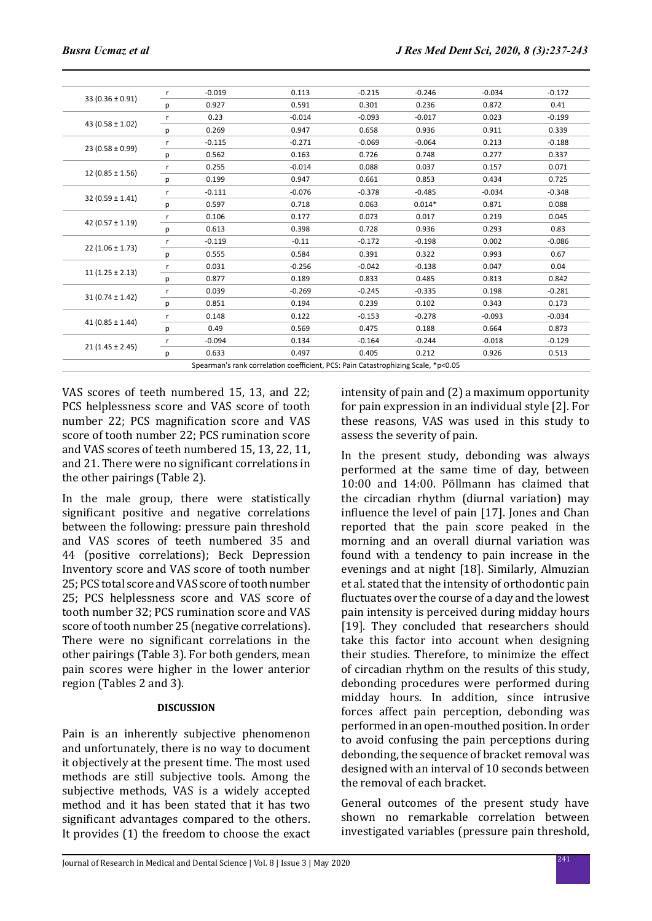| $33(0.36 \pm 0.91)$  | r            | $-0.019$ | 0.113                                                                             | $-0.215$ | $-0.246$ | $-0.034$ | $-0.172$ |
|----------------------|--------------|----------|-----------------------------------------------------------------------------------|----------|----------|----------|----------|
|                      | p            | 0.927    | 0.591                                                                             | 0.301    | 0.236    | 0.872    | 0.41     |
| 43 (0.58 $\pm$ 1.02) | r            | 0.23     | $-0.014$                                                                          | $-0.093$ | $-0.017$ | 0.023    | $-0.199$ |
|                      | р            | 0.269    | 0.947                                                                             | 0.658    | 0.936    | 0.911    | 0.339    |
| $23(0.58 \pm 0.99)$  | $\mathsf{r}$ | $-0.115$ | $-0.271$                                                                          | $-0.069$ | $-0.064$ | 0.213    | $-0.188$ |
|                      | р            | 0.562    | 0.163                                                                             | 0.726    | 0.748    | 0.277    | 0.337    |
| $12(0.85 \pm 1.56)$  | $\mathsf{r}$ | 0.255    | $-0.014$                                                                          | 0.088    | 0.037    | 0.157    | 0.071    |
|                      | р            | 0.199    | 0.947                                                                             | 0.661    | 0.853    | 0.434    | 0.725    |
| $32(0.59 \pm 1.41)$  | $\mathsf{r}$ | $-0.111$ | $-0.076$                                                                          | $-0.378$ | $-0.485$ | $-0.034$ | $-0.348$ |
|                      | р            | 0.597    | 0.718                                                                             | 0.063    | $0.014*$ | 0.871    | 0.088    |
| 42 $(0.57 \pm 1.19)$ | r            | 0.106    | 0.177                                                                             | 0.073    | 0.017    | 0.219    | 0.045    |
|                      | р            | 0.613    | 0.398                                                                             | 0.728    | 0.936    | 0.293    | 0.83     |
| $22(1.06 \pm 1.73)$  | r            | $-0.119$ | $-0.11$                                                                           | $-0.172$ | $-0.198$ | 0.002    | $-0.086$ |
|                      | р            | 0.555    | 0.584                                                                             | 0.391    | 0.322    | 0.993    | 0.67     |
| $11(1.25 \pm 2.13)$  | $\mathsf{r}$ | 0.031    | $-0.256$                                                                          | $-0.042$ | $-0.138$ | 0.047    | 0.04     |
|                      | p            | 0.877    | 0.189                                                                             | 0.833    | 0.485    | 0.813    | 0.842    |
| $31(0.74 \pm 1.42)$  | r            | 0.039    | $-0.269$                                                                          | $-0.245$ | $-0.335$ | 0.198    | $-0.281$ |
|                      | p            | 0.851    | 0.194                                                                             | 0.239    | 0.102    | 0.343    | 0.173    |
|                      | r            | 0.148    | 0.122                                                                             | $-0.153$ | $-0.278$ | $-0.093$ | $-0.034$ |
| 41 $(0.85 \pm 1.44)$ | р            | 0.49     | 0.569                                                                             | 0.475    | 0.188    | 0.664    | 0.873    |
|                      | r            | $-0.094$ | 0.134                                                                             | $-0.164$ | $-0.244$ | $-0.018$ | $-0.129$ |
| $21(1.45 \pm 2.45)$  | р            | 0.633    | 0.497                                                                             | 0.405    | 0.212    | 0.926    | 0.513    |
|                      |              |          | Spearman's rank correlation coefficient, PCS: Pain Catastrophizing Scale, *p<0.05 |          |          |          |          |
|                      |              |          |                                                                                   |          |          |          |          |

VAS scores of teeth numbered 15, 13, and 22; PCS helplessness score and VAS score of tooth number 22; PCS magnification score and VAS score of tooth number 22; PCS rumination score and VAS scores of teeth numbered 15, 13, 22, 11, and 21. There were no significant correlations in the other pairings (Table 2).

In the male group, there were statistically significant positive and negative correlations between the following: pressure pain threshold and VAS scores of teeth numbered 35 and 44 (positive correlations); Beck Depression Inventory score and VAS score of tooth number 25; PCS total score and VAS score of tooth number 25; PCS helplessness score and VAS score of tooth number 32; PCS rumination score and VAS score of tooth number 25 (negative correlations). There were no significant correlations in the other pairings (Table 3). For both genders, mean pain scores were higher in the lower anterior region (Tables 2 and 3).

## **DISCUSSION**

Pain is an inherently subjective phenomenon and unfortunately, there is no way to document it objectively at the present time. The most used methods are still subjective tools. Among the subjective methods, VAS is a widely accepted method and it has been stated that it has two significant advantages compared to the others. It provides (1) the freedom to choose the exact intensity of pain and (2) a maximum opportunity for pain expression in an individual style [2]. For these reasons, VAS was used in this study to assess the severity of pain.

In the present study, debonding was always performed at the same time of day, between 10:00 and 14:00. Pöllmann has claimed that the circadian rhythm (diurnal variation) may influence the level of pain [17]. Jones and Chan reported that the pain score peaked in the morning and an overall diurnal variation was found with a tendency to pain increase in the evenings and at night [18]. Similarly, Almuzian et al. stated that the intensity of orthodontic pain fluctuates over the course of a day and the lowest pain intensity is perceived during midday hours [19]. They concluded that researchers should take this factor into account when designing their studies. Therefore, to minimize the effect of circadian rhythm on the results of this study, debonding procedures were performed during midday hours. In addition, since intrusive forces affect pain perception, debonding was performed in an open-mouthed position. In order to avoid confusing the pain perceptions during debonding, the sequence of bracket removal was designed with an interval of 10 seconds between the removal of each bracket.

General outcomes of the present study have shown no remarkable correlation between investigated variables (pressure pain threshold,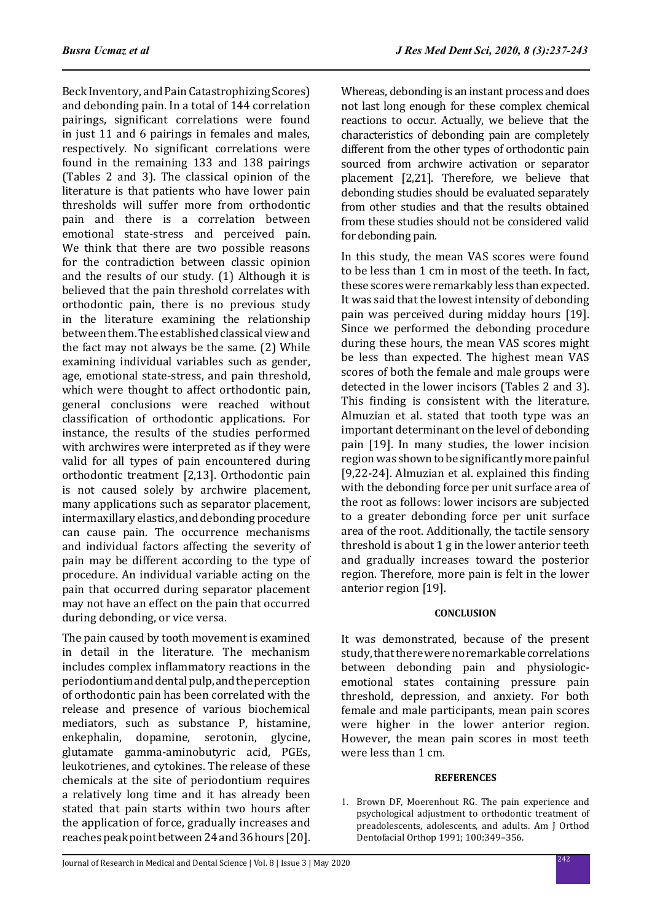Beck Inventory, and Pain Catastrophizing Scores) and debonding pain. In a total of 144 correlation pairings, significant correlations were found in just 11 and 6 pairings in females and males, respectively. No significant correlations were found in the remaining 133 and 138 pairings (Tables 2 and 3). The classical opinion of the literature is that patients who have lower pain thresholds will suffer more from orthodontic pain and there is a correlation between emotional state-stress and perceived pain. We think that there are two possible reasons for the contradiction between classic opinion and the results of our study. (1) Although it is believed that the pain threshold correlates with orthodontic pain, there is no previous study in the literature examining the relationship between them. The established classical view and the fact may not always be the same. (2) While examining individual variables such as gender, age, emotional state-stress, and pain threshold, which were thought to affect orthodontic pain, general conclusions were reached without classification of orthodontic applications. For instance, the results of the studies performed with archwires were interpreted as if they were valid for all types of pain encountered during orthodontic treatment [2,13]. Orthodontic pain is not caused solely by archwire placement, many applications such as separator placement, intermaxillary elastics, and debonding procedure can cause pain. The occurrence mechanisms and individual factors affecting the severity of pain may be different according to the type of procedure. An individual variable acting on the pain that occurred during separator placement may not have an effect on the pain that occurred during debonding, or vice versa.

The pain caused by tooth movement is examined in detail in the literature. The mechanism includes complex inflammatory reactions in the periodontium and dental pulp, and the perception of orthodontic pain has been correlated with the release and presence of various biochemical mediators, such as substance P, histamine, enkephalin, dopamine, serotonin, glycine, enkephalin, dopamine, serotonin, glutamate gamma-aminobutyric acid, PGEs, leukotrienes, and cytokines. The release of these chemicals at the site of periodontium requires a relatively long time and it has already been stated that pain starts within two hours after the application of force, gradually increases and reaches peak point between 24 and 36 hours [20]. Whereas, debonding is an instant process and does not last long enough for these complex chemical reactions to occur. Actually, we believe that the characteristics of debonding pain are completely different from the other types of orthodontic pain sourced from archwire activation or separator placement [2,21]. Therefore, we believe that debonding studies should be evaluated separately from other studies and that the results obtained from these studies should not be considered valid for debonding pain.

In this study, the mean VAS scores were found to be less than 1 cm in most of the teeth. In fact, these scores were remarkably less than expected. It was said that the lowest intensity of debonding pain was perceived during midday hours [19]. Since we performed the debonding procedure during these hours, the mean VAS scores might be less than expected. The highest mean VAS scores of both the female and male groups were detected in the lower incisors (Tables 2 and 3). This finding is consistent with the literature. Almuzian et al. stated that tooth type was an important determinant on the level of debonding pain [19]. In many studies, the lower incision region was shown to be significantly more painful [9,22-24]. Almuzian et al. explained this finding with the debonding force per unit surface area of the root as follows: lower incisors are subjected to a greater debonding force per unit surface area of the root. Additionally, the tactile sensory threshold is about 1 g in the lower anterior teeth and gradually increases toward the posterior region. Therefore, more pain is felt in the lower anterior region [19].

# **CONCLUSION**

It was demonstrated, because of the present study, that there were no remarkable correlations between debonding pain and physiologicemotional states containing pressure pain threshold, depression, and anxiety. For both female and male participants, mean pain scores were higher in the lower anterior region. However, the mean pain scores in most teeth were less than 1 cm.

## **REFERENCES**

1. Brown DF, Moerenhout RG. The pain experience and psychological adjustment to orthodontic treatment of preadolescents, adolescents, and adults. Am J Orthod Dentofacial Orthop 1991; 100:349–356.